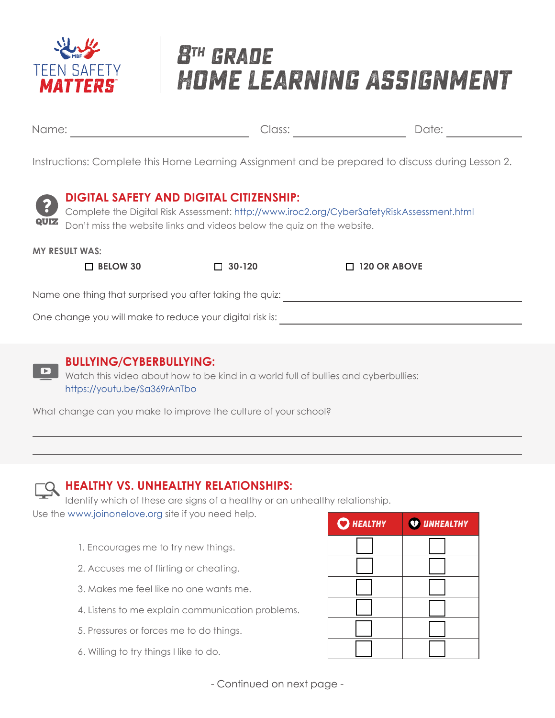

# **8th grade Home Learning Assignment**

Name: Date: Class:

Instructions: Complete this Home Learning Assignment and be prepared to discuss during Lesson 2.



#### **DIGITAL SAFETY AND DIGITAL CITIZENSHIP:**

Complete the Digital Risk Assessment: http://www.iroc2.org/CyberSafetyRiskAssessment.html Don't miss the website links and videos below the quiz on the website.

#### **MY RESULT WAS:**

 **BELOW 30 30-120 120 OR ABOVE**

Name one thing that surprised you after taking the quiz:

One change you will make to reduce your digital risk is:



### **BULLYING/CYBERBULLYING:**

Watch this video about how to be kind in a world full of bullies and cyberbullies: https://youtu.be/Sa369rAnTbo

What change can you make to improve the culture of your school?



### **HEALTHY VS. UNHEALTHY RELATIONSHIPS:**

Identify which of these are signs of a healthy or an unhealthy relationship. Use the www.joinonelove.org site if you need help.

- 1. Encourages me to try new things.
- 2. Accuses me of flirting or cheating.
- 3. Makes me feel like no one wants me.
- 4. Listens to me explain communication problems.
- 5. Pressures or forces me to do things.
- 6. Willing to try things I like to do.

| $Q$ HEALTHY | <b>V</b> UNHEALTHY |
|-------------|--------------------|
|             |                    |
|             |                    |
|             |                    |
|             |                    |
|             |                    |
|             |                    |

- Continued on next page -